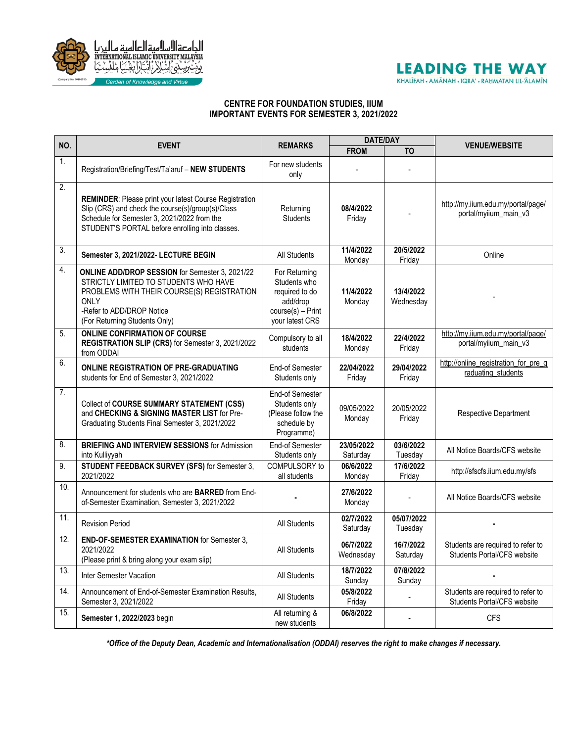

## **LEADING THE WAY** KHALĪFAH - AMĀNAH - IQRA' - RAHMATAN LIL-ĀLAMĪN

## **CENTRE FOR FOUNDATION STUDIES, IIUM IMPORTANT EVENTS FOR SEMESTER 3, 2021/2022**

| NO.            | <b>EVENT</b>                                                                                                                                                                                                         | <b>REMARKS</b>                                                                                        | <b>DATE/DAY</b>        |                        |                                                                  |
|----------------|----------------------------------------------------------------------------------------------------------------------------------------------------------------------------------------------------------------------|-------------------------------------------------------------------------------------------------------|------------------------|------------------------|------------------------------------------------------------------|
|                |                                                                                                                                                                                                                      |                                                                                                       | <b>FROM</b>            | T <sub>O</sub>         | <b>VENUE/WEBSITE</b>                                             |
| 1.             | Registration/Briefing/Test/Ta'aruf - NEW STUDENTS                                                                                                                                                                    | For new students<br>only                                                                              |                        |                        |                                                                  |
| 2.             | <b>REMINDER:</b> Please print your latest Course Registration<br>Slip (CRS) and check the course(s)/group(s)/Class<br>Schedule for Semester 3, 2021/2022 from the<br>STUDENT'S PORTAL before enrolling into classes. | Returning<br><b>Students</b>                                                                          | 08/4/2022<br>Friday    |                        | http://mv.jium.edu.mv/portal/page/<br>portal/myiium_main_v3      |
| 3.             | Semester 3, 2021/2022- LECTURE BEGIN                                                                                                                                                                                 | <b>All Students</b>                                                                                   | 11/4/2022<br>Monday    | 20/5/2022<br>Friday    | Online                                                           |
| 4.             | <b>ONLINE ADD/DROP SESSION for Semester 3, 2021/22</b><br>STRICTLY LIMITED TO STUDENTS WHO HAVE<br>PROBLEMS WITH THEIR COURSE(S) REGISTRATION<br>ONLY<br>-Refer to ADD/DROP Notice<br>(For Returning Students Only)  | For Returning<br>Students who<br>required to do<br>add/drop<br>$course(s) - Print$<br>your latest CRS | 11/4/2022<br>Monday    | 13/4/2022<br>Wednesday |                                                                  |
| 5.             | <b>ONLINE CONFIRMATION OF COURSE</b><br>REGISTRATION SLIP (CRS) for Semester 3, 2021/2022<br>from ODDAI                                                                                                              | Compulsory to all<br>students                                                                         | 18/4/2022<br>Monday    | 22/4/2022<br>Friday    | http://my.iium.edu.my/portal/page/<br>portal/myiium_main_v3      |
| 6.             | <b>ONLINE REGISTRATION OF PRE-GRADUATING</b><br>students for End of Semester 3, 2021/2022                                                                                                                            | <b>End-of Semester</b><br>Students only                                                               | 22/04/2022<br>Friday   | 29/04/2022<br>Friday   | http://online_registration_for_pre_g<br>raduating students       |
| 7 <sub>1</sub> | Collect of COURSE SUMMARY STATEMENT (CSS)<br>and CHECKING & SIGNING MASTER LIST for Pre-<br>Graduating Students Final Semester 3, 2021/2022                                                                          | End-of Semester<br>Students only<br>(Please follow the<br>schedule by<br>Programme)                   | 09/05/2022<br>Monday   | 20/05/2022<br>Friday   | Respective Department                                            |
| 8.             | <b>BRIEFING AND INTERVIEW SESSIONS for Admission</b><br>into Kulliyyah                                                                                                                                               | End-of Semester<br>Students only                                                                      | 23/05/2022<br>Saturday | 03/6/2022<br>Tuesday   | All Notice Boards/CFS website                                    |
| 9.             | STUDENT FEEDBACK SURVEY (SFS) for Semester 3,<br>2021/2022                                                                                                                                                           | COMPULSORY to<br>all students                                                                         | 06/6/2022<br>Monday    | 17/6/2022<br>Friday    | http://sfscfs.iium.edu.my/sfs                                    |
| 10.            | Announcement for students who are <b>BARRED</b> from End-<br>of-Semester Examination, Semester 3, 2021/2022                                                                                                          |                                                                                                       | 27/6/2022<br>Monday    |                        | All Notice Boards/CFS website                                    |
| 11.            | <b>Revision Period</b>                                                                                                                                                                                               | All Students                                                                                          | 02/7/2022<br>Saturday  | 05/07/2022<br>Tuesday  |                                                                  |
| 12.            | <b>END-OF-SEMESTER EXAMINATION for Semester 3,</b><br>2021/2022<br>(Please print & bring along your exam slip)                                                                                                       | All Students                                                                                          | 06/7/2022<br>Wednesday | 16/7/2022<br>Saturday  | Students are required to refer to<br>Students Portal/CFS website |
| 13.            | Inter Semester Vacation                                                                                                                                                                                              | All Students                                                                                          | 18/7/2022<br>Sunday    | 07/8/2022<br>Sunday    |                                                                  |
| 14.            | Announcement of End-of-Semester Examination Results,<br>Semester 3, 2021/2022                                                                                                                                        | All Students                                                                                          | 05/8/2022<br>Friday    |                        | Students are required to refer to<br>Students Portal/CFS website |
| 15.            | Semester 1, 2022/2023 begin                                                                                                                                                                                          | All returning &<br>new students                                                                       | 06/8/2022              |                        | <b>CFS</b>                                                       |

*\*Office of the Deputy Dean, Academic and Internationalisation (ODDAI) reserves the right to make changes if necessary.*